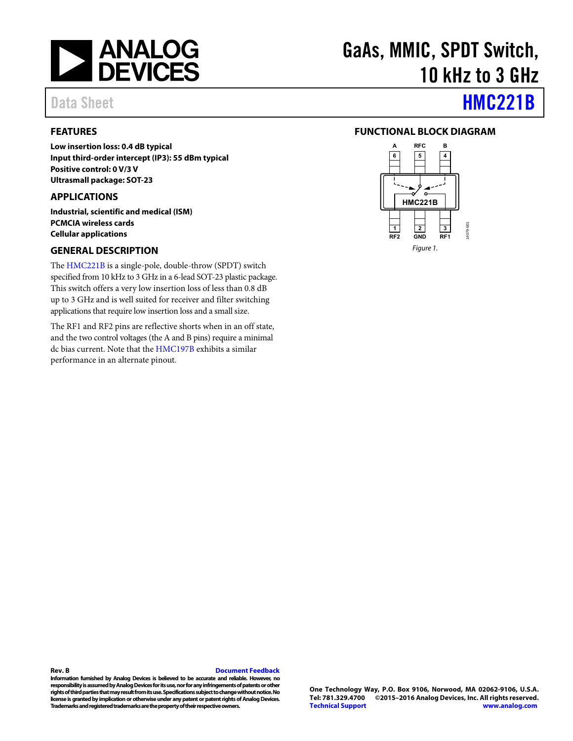

#### <span id="page-0-0"></span>**FEATURES**

**Low insertion loss: 0.4 dB typical Input third-order intercept (IP3): 55 dBm typical Positive control: 0 V/3 V Ultrasmall package: SOT-23** 

#### <span id="page-0-1"></span>**APPLICATIONS**

**Industrial, scientific and medical (ISM) PCMCIA wireless cards Cellular applications** 

#### <span id="page-0-2"></span>**GENERAL DESCRIPTION**

The [HMC221B](http://www.analog.com/HMC221B?doc=HMC221B.pdf) is a single-pole, double-throw (SPDT) switch specified from 10 kHz to 3 GHz in a 6-lead SOT-23 plastic package. This switch offers a very low insertion loss of less than 0.8 dB up to 3 GHz and is well suited for receiver and filter switching applications that require low insertion loss and a small size.

The RF1 and RF2 pins are reflective shorts when in an off state, and the two control voltages (the A and B pins) require a minimal dc bias current. Note that th[e HMC197B e](http://www.analog.com/HMC197B?doc=HMC197B.pdf)xhibits a similar performance in an alternate pinout.

# GaAs, MMIC, SPDT Switch, 10 kHz to 3 GHz

# Data Sheet **[HMC221B](http://www.analog.com/HMC221B?doc=HMC221B.pdf)**

#### <span id="page-0-3"></span>**FUNCTIONAL BLOCK DIAGRAM**



#### **Rev. B [Document Feedback](https://form.analog.com/Form_Pages/feedback/documentfeedback.aspx?doc=HMC221B.pdf&product=HMC221B&rev=B)**

**Information furnished by Analog Devices is believed to be accurate and reliable. However, no responsibility is assumed by Analog Devices for its use, nor for any infringements of patents or other rights of third parties that may result from its use. Specifications subject to change without notice. No license is granted by implication or otherwise under any patent or patent rights of Analog Devices. Trademarks and registered trademarks are the property of their respective owners.**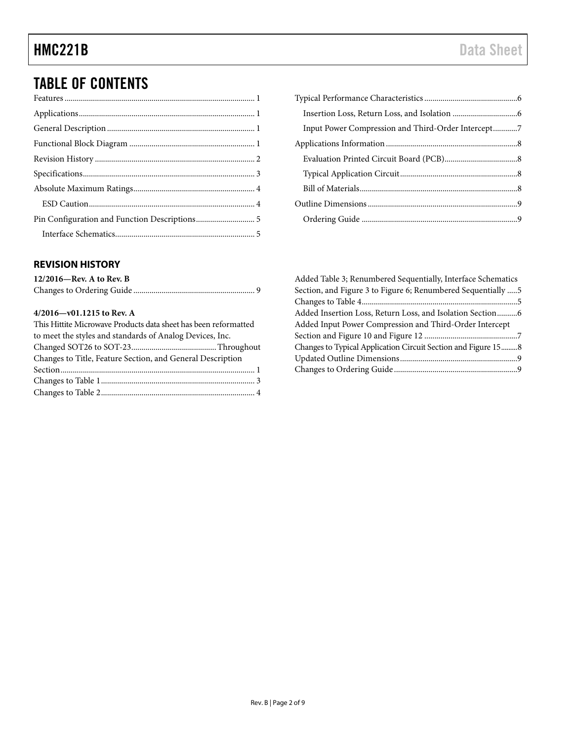# TABLE OF CONTENTS

#### <span id="page-1-0"></span>**REVISION HISTORY**

| $12/2016$ —Rev. A to Rev. B |  |
|-----------------------------|--|
|                             |  |

#### **4/2016—v01.1215 to Rev. A**

| This Hittite Microwave Products data sheet has been reformatted |  |
|-----------------------------------------------------------------|--|
| to meet the styles and standards of Analog Devices, Inc.        |  |
|                                                                 |  |
| Changes to Title, Feature Section, and General Description      |  |
|                                                                 |  |
|                                                                 |  |
|                                                                 |  |

| Input Power Compression and Third-Order Intercept7 |  |
|----------------------------------------------------|--|
|                                                    |  |
|                                                    |  |
|                                                    |  |
|                                                    |  |
|                                                    |  |
|                                                    |  |

| Added Table 3; Renumbered Sequentially, Interface Schematics   |  |
|----------------------------------------------------------------|--|
| Section, and Figure 3 to Figure 6; Renumbered Sequentially     |  |
|                                                                |  |
| Added Insertion Loss, Return Loss, and Isolation Section6      |  |
| Added Input Power Compression and Third-Order Intercept        |  |
|                                                                |  |
| Changes to Typical Application Circuit Section and Figure 15 8 |  |
|                                                                |  |
|                                                                |  |
|                                                                |  |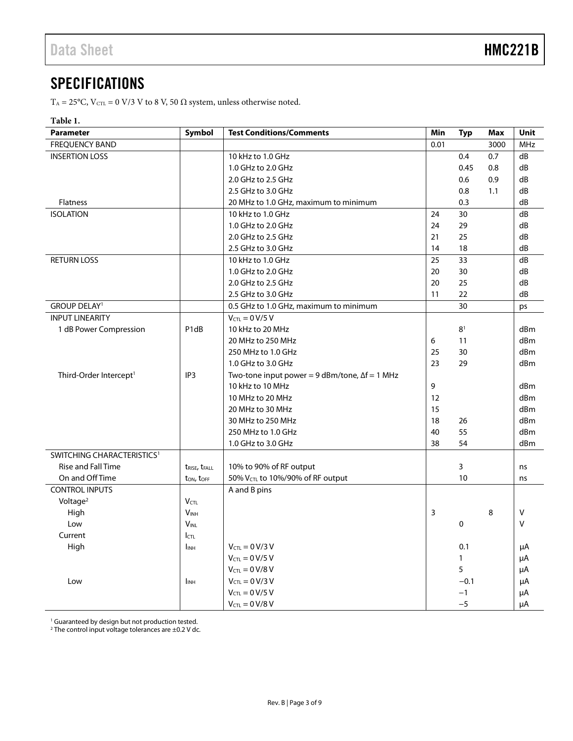### <span id="page-2-0"></span>**SPECIFICATIONS**

T<sub>A</sub> = 25°C, V<sub>CTL</sub> = 0 V/3 V to 8 V, 50  $\Omega$  system, unless otherwise noted.

#### **Table 1.**

| <b>Parameter</b>                       | Symbol                                | <b>Test Conditions/Comments</b>                         | Min  | <b>Typ</b>     | Max  | Unit            |
|----------------------------------------|---------------------------------------|---------------------------------------------------------|------|----------------|------|-----------------|
| <b>FREQUENCY BAND</b>                  |                                       |                                                         | 0.01 |                | 3000 | <b>MHz</b>      |
| <b>INSERTION LOSS</b>                  |                                       | 10 kHz to 1.0 GHz                                       |      | 0.4            | 0.7  | dB              |
|                                        |                                       | 1.0 GHz to 2.0 GHz                                      |      | 0.45           | 0.8  | dB              |
|                                        |                                       | 2.0 GHz to 2.5 GHz                                      |      | 0.6            | 0.9  | dB              |
|                                        |                                       | 2.5 GHz to 3.0 GHz                                      |      | 0.8            | 1.1  | dB              |
| Flatness                               |                                       | 20 MHz to 1.0 GHz, maximum to minimum                   |      | 0.3            |      | dB              |
| <b>ISOLATION</b>                       |                                       | 10 kHz to 1.0 GHz                                       | 24   | 30             |      | dB              |
|                                        |                                       | 1.0 GHz to 2.0 GHz                                      | 24   | 29             |      | dB              |
|                                        |                                       | 2.0 GHz to 2.5 GHz                                      | 21   | 25             |      | dB              |
|                                        |                                       | 2.5 GHz to 3.0 GHz                                      | 14   | 18             |      | dB              |
| <b>RETURN LOSS</b>                     |                                       | 10 kHz to 1.0 GHz                                       | 25   | 33             |      | dB              |
|                                        |                                       | 1.0 GHz to 2.0 GHz                                      | 20   | 30             |      | dB              |
|                                        |                                       | 2.0 GHz to 2.5 GHz                                      | 20   | 25             |      | dB              |
|                                        |                                       | 2.5 GHz to 3.0 GHz                                      | 11   | 22             |      | dB              |
| <b>GROUP DELAY1</b>                    |                                       | 0.5 GHz to 1.0 GHz, maximum to minimum                  |      | 30             |      | ps              |
| <b>INPUT LINEARITY</b>                 |                                       | $V_{CTL} = 0 V/5 V$                                     |      |                |      |                 |
| 1 dB Power Compression                 | P <sub>1dB</sub>                      | 10 kHz to 20 MHz                                        |      | 8 <sup>1</sup> |      | d <sub>Bm</sub> |
|                                        |                                       | 20 MHz to 250 MHz                                       | 6    | 11             |      | dBm             |
|                                        |                                       | 250 MHz to 1.0 GHz                                      | 25   | 30             |      | dBm             |
|                                        |                                       | 1.0 GHz to 3.0 GHz                                      | 23   | 29             |      | d <sub>Bm</sub> |
| Third-Order Intercept <sup>1</sup>     | IP3                                   | Two-tone input power = $9$ dBm/tone, $\Delta f = 1$ MHz |      |                |      |                 |
|                                        |                                       | 10 kHz to 10 MHz                                        | 9    |                |      | dBm             |
|                                        |                                       | 10 MHz to 20 MHz                                        | 12   |                |      | dBm             |
|                                        |                                       | 20 MHz to 30 MHz                                        | 15   |                |      | dBm             |
|                                        |                                       | 30 MHz to 250 MHz                                       | 18   | 26             |      | dBm             |
|                                        |                                       | 250 MHz to 1.0 GHz                                      | 40   | 55             |      | dBm             |
|                                        |                                       | 1.0 GHz to 3.0 GHz                                      | 38   | 54             |      | dBm             |
| SWITCHING CHARACTERISTICS <sup>1</sup> |                                       |                                                         |      |                |      |                 |
| <b>Rise and Fall Time</b>              | t <sub>RISE</sub> , t <sub>FALL</sub> | 10% to 90% of RF output                                 |      | 3              |      | ns              |
| On and Off Time                        | ton, toff                             | 50% V <sub>CTL</sub> to 10%/90% of RF output            |      | 10             |      | ns              |
| <b>CONTROL INPUTS</b>                  |                                       | A and B pins                                            |      |                |      |                 |
| Voltage <sup>2</sup>                   | <b>V</b> <sub>CTL</sub>               |                                                         |      |                |      |                 |
| High                                   | $V_{INH}$                             |                                                         | 3    |                | 8    | $\vee$          |
| Low                                    | $V_{\text{INL}}$                      |                                                         |      | $\pmb{0}$      |      | $\vee$          |
| Current                                | $I_{\text{CTL}}$                      |                                                         |      |                |      |                 |
| High                                   | <b>I</b> <sub>INH</sub>               | $V_{CTL} = 0 V/3 V$                                     |      | 0.1            |      | μA              |
|                                        |                                       | $V_{CTL} = 0 V/5 V$                                     |      | $\mathbf{1}$   |      | μA              |
|                                        |                                       | $V_{\text{CTL}} = 0 V/8 V$                              |      | 5              |      | μA              |
| Low                                    | <b>I</b> <sub>INH</sub>               | $V_{CTL} = 0 V/3 V$                                     |      | $-0.1$         |      | μA              |
|                                        |                                       | $V_{\text{CTL}} = 0 V/5 V$                              |      | $-1$           |      | μA              |
|                                        |                                       | $V_{CTL} = 0 V/8 V$                                     |      | $-5$           |      | μA              |

<sup>1</sup> Guaranteed by design but not production tested.

 $2$  The control input voltage tolerances are  $\pm$ 0.2 V dc.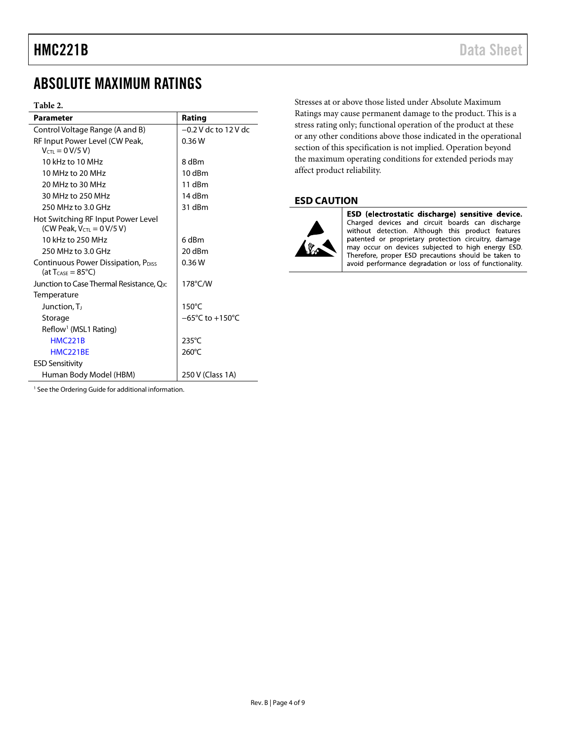## <span id="page-3-0"></span>ABSOLUTE MAXIMUM RATINGS

#### **Table 2.**

| <b>Parameter</b>                                       | Rating                              |
|--------------------------------------------------------|-------------------------------------|
| Control Voltage Range (A and B)                        | $-0.2$ V dc to 12 V dc              |
| RF Input Power Level (CW Peak,                         | 0.36W                               |
| $V_{\text{CTL}} = 0 V/5 V$                             |                                     |
| 10 kHz to 10 MHz                                       | 8 dBm                               |
| 10 MHz to 20 MHz                                       | 10 dBm                              |
| 20 MHz to 30 MHz                                       | $11$ dBm                            |
| 30 MHz to 250 MHz                                      | 14 dBm                              |
| 250 MHz to 3.0 GHz                                     | 31 dBm                              |
| Hot Switching RF Input Power Level                     |                                     |
| (CW Peak, $V_{\text{CTL}} = 0 \text{ V}/5 \text{ V}$ ) |                                     |
| 10 kHz to 250 MHz                                      | 6 dBm                               |
| 250 MHz to 3.0 GHz                                     | 20 dBm                              |
| Continuous Power Dissipation, P <sub>DISS</sub>        | 0.36W                               |
| (at $T_{\text{CASE}} = 85^{\circ}C$ )                  |                                     |
| Junction to Case Thermal Resistance, Q <sub>IC</sub>   | 178°C/W                             |
| Temperature                                            |                                     |
| Junction, T                                            | $150^{\circ}$ C                     |
| Storage                                                | $-65^{\circ}$ C to $+150^{\circ}$ C |
| Reflow <sup>1</sup> (MSL1 Rating)                      |                                     |
| <b>HMC221B</b>                                         | $235^{\circ}$ C                     |
| HMC <sub>221</sub> RF                                  | 260°C                               |
| <b>ESD Sensitivity</b>                                 |                                     |
| Human Body Model (HBM)                                 | 250 V (Class 1A)                    |

Stresses at or above those listed under Absolute Maximum Ratings may cause permanent damage to the product. This is a stress rating only; functional operation of the product at these or any other conditions above those indicated in the operational section of this specification is not implied. Operation beyond the maximum operating conditions for extended periods may affect product reliability.

#### <span id="page-3-1"></span>**ESD CAUTION**



ESD (electrostatic discharge) sensitive device. Charged devices and circuit boards can discharge<br>without detection. Although this product features patented or proprietary protection circuitry, damage may occur on devices subjected to high energy ESD. Therefore, proper ESD precautions should be taken to avoid performance degradation or loss of functionality.

<sup>1</sup> See th[e Ordering Guide](#page-8-1) for additional information.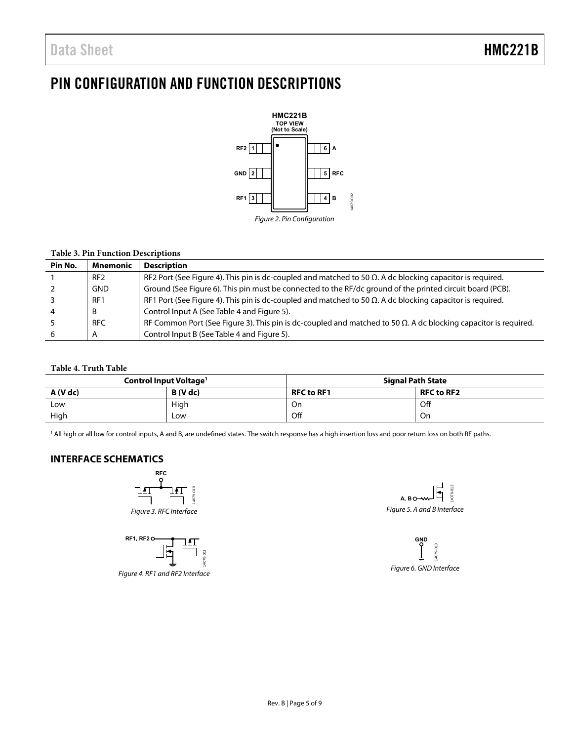### <span id="page-4-0"></span>PIN CONFIGURATION AND FUNCTION DESCRIPTIONS



#### **Table 3. Pin Function Descriptions**

| Pin No. | <b>Mnemonic</b> | <b>Description</b>                                                                                                      |
|---------|-----------------|-------------------------------------------------------------------------------------------------------------------------|
|         | RF <sub>2</sub> | RF2 Port (See Figure 4). This pin is dc-coupled and matched to 50 $\Omega$ . A dc blocking capacitor is required.       |
|         | <b>GND</b>      | Ground (See Figure 6). This pin must be connected to the RF/dc ground of the printed circuit board (PCB).               |
|         | RF <sub>1</sub> | RF1 Port (See Figure 4). This pin is dc-coupled and matched to 50 $\Omega$ . A dc blocking capacitor is required.       |
|         | B               | Control Input A (See Table 4 and Figure 5).                                                                             |
|         | <b>RFC</b>      | RF Common Port (See Figure 3). This pin is dc-coupled and matched to 50 $\Omega$ . A dc blocking capacitor is required. |
|         | A               | Control Input B (See Table 4 and Figure 5).                                                                             |

#### <span id="page-4-4"></span>**Table 4. Truth Table**

| Control Input Voltage <sup>1</sup> |          | <b>Signal Path State</b> |                   |  |
|------------------------------------|----------|--------------------------|-------------------|--|
| A (V dc)                           | B (V dc) | <b>RFC to RF1</b>        | <b>RFC to RF2</b> |  |
| Low                                | High     | On                       | Off               |  |
| High                               | Low      | Off                      | On                |  |

1 All high or all low for control inputs, A and B, are undefined states. The switch response has a high insertion loss and poor return loss on both RF paths.

#### <span id="page-4-6"></span><span id="page-4-1"></span>**INTERFACE SCHEMATICS**







<span id="page-4-2"></span>Figure 4. RF1 and RF2 Interface

<span id="page-4-5"></span>4079-012 14079-012 'n **A, B** Figure 5. A and B Interface

<span id="page-4-3"></span>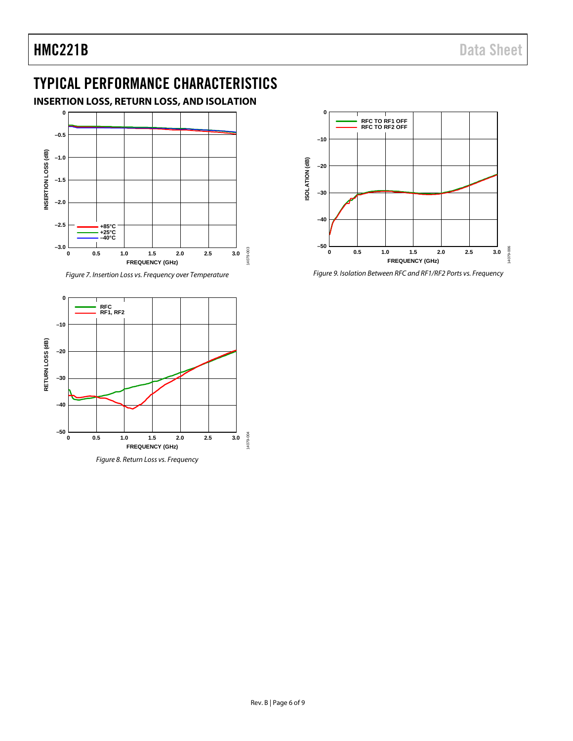# <span id="page-5-0"></span>TYPICAL PERFORMANCE CHARACTERISTICS

### <span id="page-5-1"></span>**INSERTION LOSS, RETURN LOSS, AND ISOLATION**



*Figure 7. Insertion Loss vs. Frequency over Temperature*





*Figure 9. Isolation Between RFC and RF1/RF2 Ports vs. Frequency*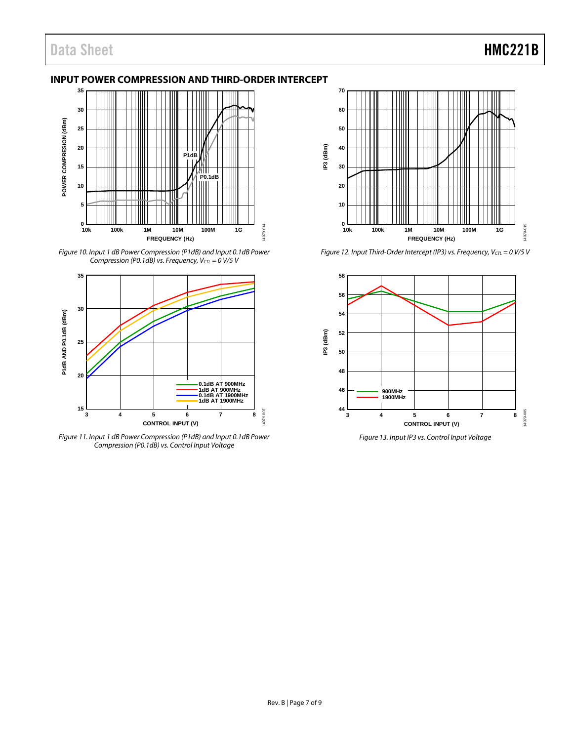#### <span id="page-6-0"></span>**INPUT POWER COMPRESSION AND THIRD-ORDER INTERCEPT**



*Figure 10. Input 1 dB Power Compression (P1dB) and Input 0.1dB Power Compression (P0.1dB) vs. Frequency, V<sub>CTL</sub>* = 0 V/5 V



*Figure 11. Input 1 dB Power Compression (P1dB) and Input 0.1dB Power Compression (P0.1dB) vs. Control Input Voltage*



*Figure 12. Input Third-Order Intercept* (IP3) *vs. Frequency, V<sub>CTL</sub>* = 0 V/5 V



*Figure 13. Input IP3 vs. Control Input Voltage*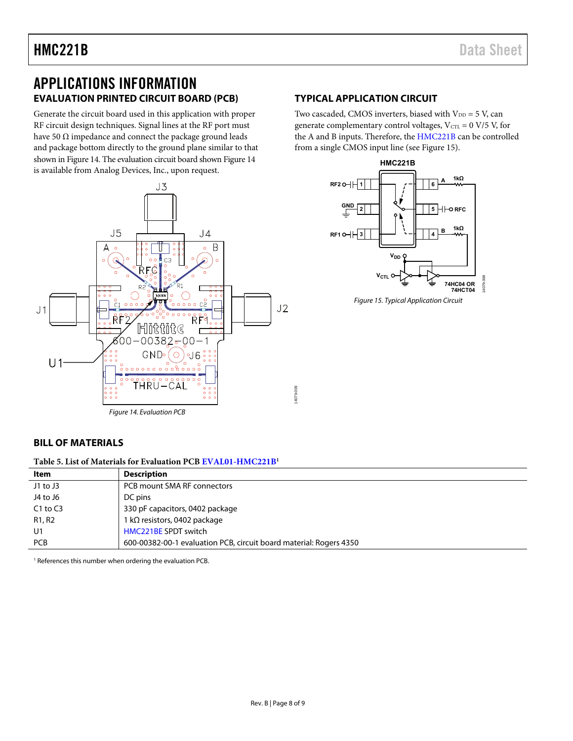### <span id="page-7-0"></span>APPLICATIONS INFORMATION **EVALUATION PRINTED CIRCUIT BOARD (PCB)**

<span id="page-7-1"></span>Generate the circuit board used in this application with proper RF circuit design techniques. Signal lines at the RF port must have 50  $\Omega$  impedance and connect the package ground leads and package bottom directly to the ground plane similar to that shown i[n Figure 14.](#page-7-4) The evaluation circuit board show[n Figure 14](#page-7-4)  is available from Analog Devices, Inc., upon request.



### <span id="page-7-2"></span>**TYPICAL APPLICATION CIRCUIT**

Two cascaded, CMOS inverters, biased with  $V_{DD} = 5$  V, can generate complementary control voltages,  $V_{\text{CTL}} = 0$  V/5 V, for the A and B inputs. Therefore, the [HMC221B](http://www.analog.com/HMC221B?doc=HMC221B.pdf) can be controlled from a single CMOS input line (see [Figure 15\)](#page-7-5).



<span id="page-7-5"></span>Figure 15. Typical Application Circuit

#### <span id="page-7-4"></span><span id="page-7-3"></span>**BILL OF MATERIALS**

**Table 5. List of Materials for Evaluation PC[B EVAL01-HMC221B1](http://www.analog.com/HMC221B?doc=HMC221B.pdf)**

| Item         | <b>Description</b>                                                 |
|--------------|--------------------------------------------------------------------|
| $J1$ to $J3$ | PCB mount SMA RF connectors                                        |
| J4 to J6     | DC pins                                                            |
| $C1$ to $C3$ | 330 pF capacitors, 0402 package                                    |
| R1, R2       | 1 k $\Omega$ resistors, 0402 package                               |
| U1           | HMC221BE SPDT switch                                               |
| PCB          | 600-00382-00-1 evaluation PCB, circuit board material: Rogers 4350 |

<sup>1</sup> References this number when ordering the evaluation PCB.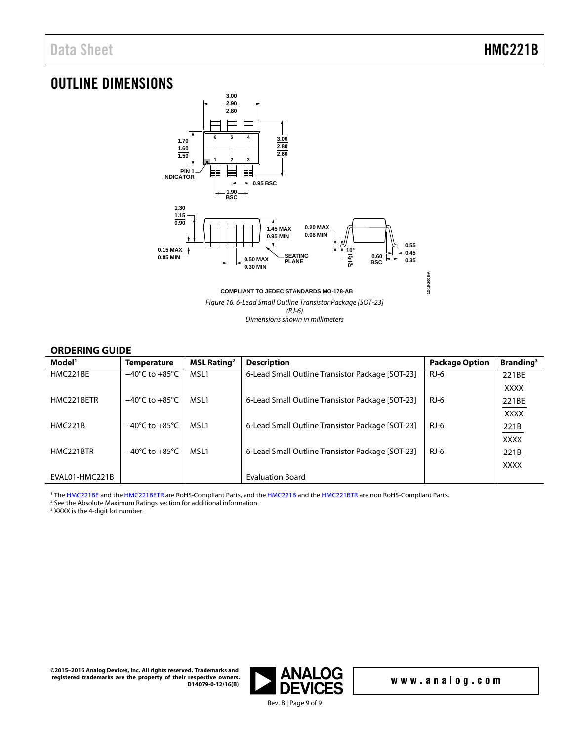### <span id="page-8-0"></span>OUTLINE DIMENSIONS



Figure 16. 6-Lead Small Outline Transistor Package [SOT-23] (RJ-6) Dimensions shown in millimeters

#### **ORDERING GUIDE**

<span id="page-8-1"></span>

| Model <sup>1</sup>     | <b>Temperature</b>                 | MSL Rating <sup>2</sup> | <b>Description</b>                               | <b>Package Option</b> | Branding <sup>3</sup> |
|------------------------|------------------------------------|-------------------------|--------------------------------------------------|-----------------------|-----------------------|
| HMC221BE               | $-40^{\circ}$ C to $+85^{\circ}$ C | MSL1                    | 6-Lead Small Outline Transistor Package [SOT-23] | $RJ-6$                | 221BE                 |
|                        |                                    |                         |                                                  |                       | <b>XXXX</b>           |
| HMC221BETR             | $-40^{\circ}$ C to $+85^{\circ}$ C | MSL1                    | 6-Lead Small Outline Transistor Package [SOT-23] | RJ-6                  | 221BE                 |
|                        |                                    |                         |                                                  |                       | <b>XXXX</b>           |
| <b>HMC221B</b>         | $-40^{\circ}$ C to $+85^{\circ}$ C | MSL1                    | 6-Lead Small Outline Transistor Package [SOT-23] | RJ-6                  | 221B                  |
|                        |                                    |                         |                                                  |                       | <b>XXXX</b>           |
| HMC <sub>221</sub> BTR | $-40^{\circ}$ C to $+85^{\circ}$ C | MSL1                    | 6-Lead Small Outline Transistor Package [SOT-23] | RJ-6                  | 221B                  |
|                        |                                    |                         |                                                  |                       | <b>XXXX</b>           |
| EVAL01-HMC221B         |                                    |                         | <b>Evaluation Board</b>                          |                       |                       |

<sup>1</sup> The [HMC221BE a](http://www.analog.com/HMC221B?doc=HMC221B.pdf)nd th[e HMC221BETR](http://www.analog.com/HMC221B?doc=HMC221B.pdf) are RoHS-Compliant Parts, and th[e HMC221B a](http://www.analog.com/HMC221B?doc=HMC221B.pdf)nd the [HMC221BTR](http://www.analog.com/HMC221B?doc=HMC221B.pdf) are non RoHS-Compliant Parts.<br><sup>2</sup> See the Absolute Maximum Ratings section for additional information

<sup>2</sup> See th[e Absolute Maximum Ratings](#page-3-0) section for additional information.

<sup>3</sup> XXXX is the 4-digit lot number.

**©2015–2016 Analog Devices, Inc. All rights reserved. Trademarks and registered trademarks are the property of their respective owners. D14079-0-12/16(B)** 



Rev. B | Page 9 of 9